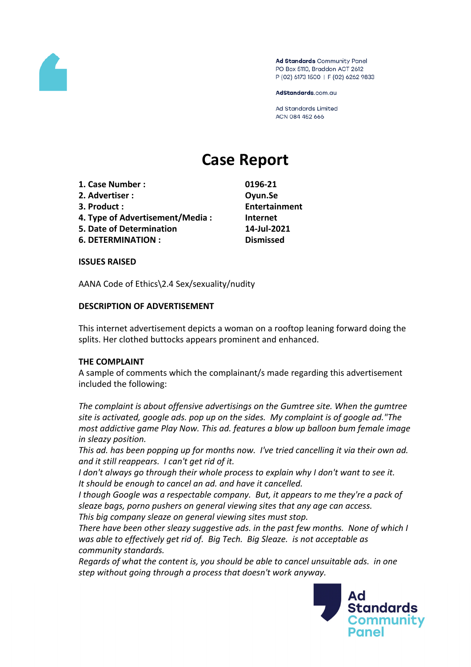

Ad Standards Community Panel PO Box 5110, Braddon ACT 2612 P (02) 6173 1500 | F (02) 6262 9833

AdStandards.com.au

**Ad Standards Limited** ACN 084 452 666

# **Case Report**

- **1. Case Number : 0196-21**
- **2. Advertiser : Oyun.Se**
- 
- **4. Type of Advertisement/Media : Internet**
- **5. Date of Determination 14-Jul-2021**
- **6. DETERMINATION : Dismissed**

**3. Product : Entertainment**

## **ISSUES RAISED**

AANA Code of Ethics\2.4 Sex/sexuality/nudity

# **DESCRIPTION OF ADVERTISEMENT**

This internet advertisement depicts a woman on a rooftop leaning forward doing the splits. Her clothed buttocks appears prominent and enhanced.

## **THE COMPLAINT**

A sample of comments which the complainant/s made regarding this advertisement included the following:

*The complaint is about offensive advertisings on the Gumtree site. When the gumtree site is activated, google ads. pop up on the sides. My complaint is of google ad."The most addictive game Play Now. This ad. features a blow up balloon bum female image in sleazy position.*

*This ad. has been popping up for months now. I've tried cancelling it via their own ad. and it still reappears. I can't get rid of it.*

*I don't always go through their whole process to explain why I don't want to see it. It should be enough to cancel an ad. and have it cancelled.*

*I though Google was a respectable company. But, it appears to me they're a pack of sleaze bags, porno pushers on general viewing sites that any age can access.*

*This big company sleaze on general viewing sites must stop.*

*There have been other sleazy suggestive ads. in the past few months. None of which I was able to effectively get rid of. Big Tech. Big Sleaze. is not acceptable as community standards.*

*Regards of what the content is, you should be able to cancel unsuitable ads. in one step without going through a process that doesn't work anyway.*

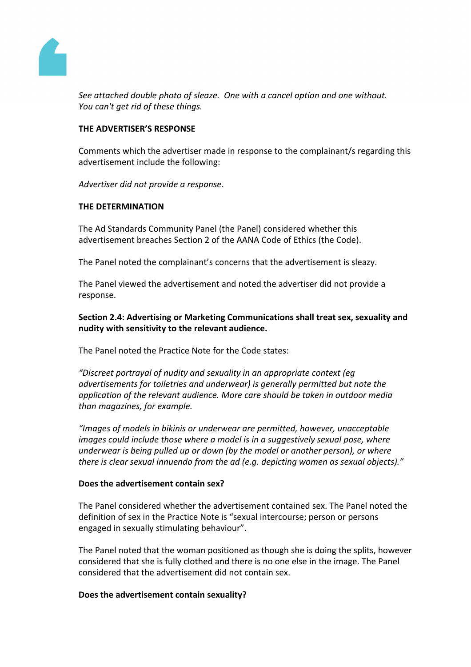

*See attached double photo of sleaze. One with a cancel option and one without. You can't get rid of these things.*

## **THE ADVERTISER'S RESPONSE**

Comments which the advertiser made in response to the complainant/s regarding this advertisement include the following:

*Advertiser did not provide a response.*

#### **THE DETERMINATION**

The Ad Standards Community Panel (the Panel) considered whether this advertisement breaches Section 2 of the AANA Code of Ethics (the Code).

The Panel noted the complainant's concerns that the advertisement is sleazy.

The Panel viewed the advertisement and noted the advertiser did not provide a response.

**Section 2.4: Advertising or Marketing Communications shall treat sex, sexuality and nudity with sensitivity to the relevant audience.**

The Panel noted the Practice Note for the Code states:

*"Discreet portrayal of nudity and sexuality in an appropriate context (eg advertisements for toiletries and underwear) is generally permitted but note the application of the relevant audience. More care should be taken in outdoor media than magazines, for example.*

*"Images of models in bikinis or underwear are permitted, however, unacceptable images could include those where a model is in a suggestively sexual pose, where underwear is being pulled up or down (by the model or another person), or where there is clear sexual innuendo from the ad (e.g. depicting women as sexual objects)."*

#### **Does the advertisement contain sex?**

The Panel considered whether the advertisement contained sex. The Panel noted the definition of sex in the Practice Note is "sexual intercourse; person or persons engaged in sexually stimulating behaviour".

The Panel noted that the woman positioned as though she is doing the splits, however considered that she is fully clothed and there is no one else in the image. The Panel considered that the advertisement did not contain sex.

#### **Does the advertisement contain sexuality?**